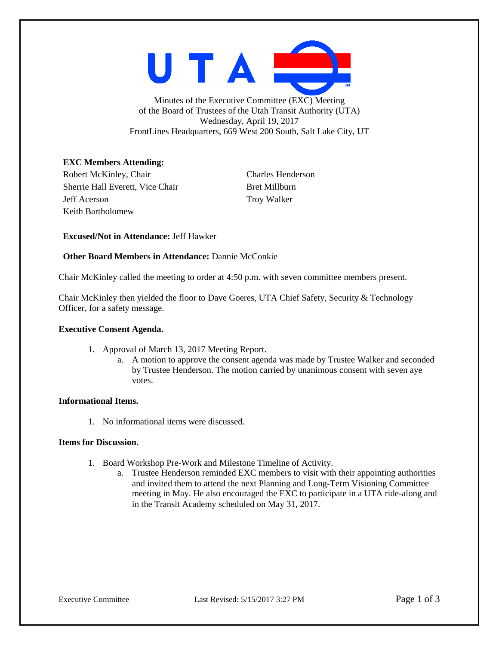

Minutes of the Executive Committee (EXC) Meeting of the Board of Trustees of the Utah Transit Authority (UTA) Wednesday, April 19, 2017 FrontLines Headquarters, 669 West 200 South, Salt Lake City, UT

# **EXC Members Attending:**

Robert McKinley, Chair Charles Henderson Sherrie Hall Everett, Vice Chair Bret Millburn Jeff Acerson Troy Walker Keith Bartholomew

**Excused/Not in Attendance:** Jeff Hawker

### **Other Board Members in Attendance:** Dannie McConkie

Chair McKinley called the meeting to order at 4:50 p.m. with seven committee members present.

Chair McKinley then yielded the floor to Dave Goeres, UTA Chief Safety, Security & Technology Officer, for a safety message.

#### **Executive Consent Agenda.**

- 1. Approval of March 13, 2017 Meeting Report.
	- a. A motion to approve the consent agenda was made by Trustee Walker and seconded by Trustee Henderson. The motion carried by unanimous consent with seven aye votes.

## **Informational Items.**

1. No informational items were discussed.

#### **Items for Discussion.**

- 1. Board Workshop Pre-Work and Milestone Timeline of Activity.
	- a. Trustee Henderson reminded EXC members to visit with their appointing authorities and invited them to attend the next Planning and Long-Term Visioning Committee meeting in May. He also encouraged the EXC to participate in a UTA ride-along and in the Transit Academy scheduled on May 31, 2017.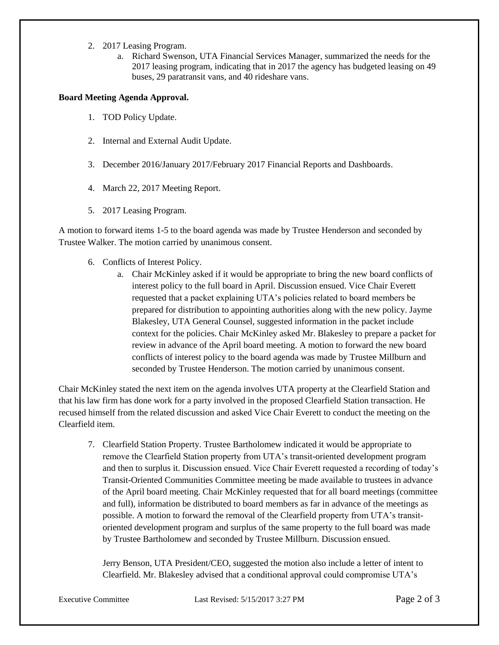- 2. 2017 Leasing Program.
	- a. Richard Swenson, UTA Financial Services Manager, summarized the needs for the 2017 leasing program, indicating that in 2017 the agency has budgeted leasing on 49 buses, 29 paratransit vans, and 40 rideshare vans.

## **Board Meeting Agenda Approval.**

- 1. TOD Policy Update.
- 2. Internal and External Audit Update.
- 3. December 2016/January 2017/February 2017 Financial Reports and Dashboards.
- 4. March 22, 2017 Meeting Report.
- 5. 2017 Leasing Program.

A motion to forward items 1-5 to the board agenda was made by Trustee Henderson and seconded by Trustee Walker. The motion carried by unanimous consent.

- 6. Conflicts of Interest Policy.
	- a. Chair McKinley asked if it would be appropriate to bring the new board conflicts of interest policy to the full board in April. Discussion ensued. Vice Chair Everett requested that a packet explaining UTA's policies related to board members be prepared for distribution to appointing authorities along with the new policy. Jayme Blakesley, UTA General Counsel, suggested information in the packet include context for the policies. Chair McKinley asked Mr. Blakesley to prepare a packet for review in advance of the April board meeting. A motion to forward the new board conflicts of interest policy to the board agenda was made by Trustee Millburn and seconded by Trustee Henderson. The motion carried by unanimous consent.

Chair McKinley stated the next item on the agenda involves UTA property at the Clearfield Station and that his law firm has done work for a party involved in the proposed Clearfield Station transaction. He recused himself from the related discussion and asked Vice Chair Everett to conduct the meeting on the Clearfield item.

7. Clearfield Station Property. Trustee Bartholomew indicated it would be appropriate to remove the Clearfield Station property from UTA's transit-oriented development program and then to surplus it. Discussion ensued. Vice Chair Everett requested a recording of today's Transit-Oriented Communities Committee meeting be made available to trustees in advance of the April board meeting. Chair McKinley requested that for all board meetings (committee and full), information be distributed to board members as far in advance of the meetings as possible. A motion to forward the removal of the Clearfield property from UTA's transitoriented development program and surplus of the same property to the full board was made by Trustee Bartholomew and seconded by Trustee Millburn. Discussion ensued.

Jerry Benson, UTA President/CEO, suggested the motion also include a letter of intent to Clearfield. Mr. Blakesley advised that a conditional approval could compromise UTA's